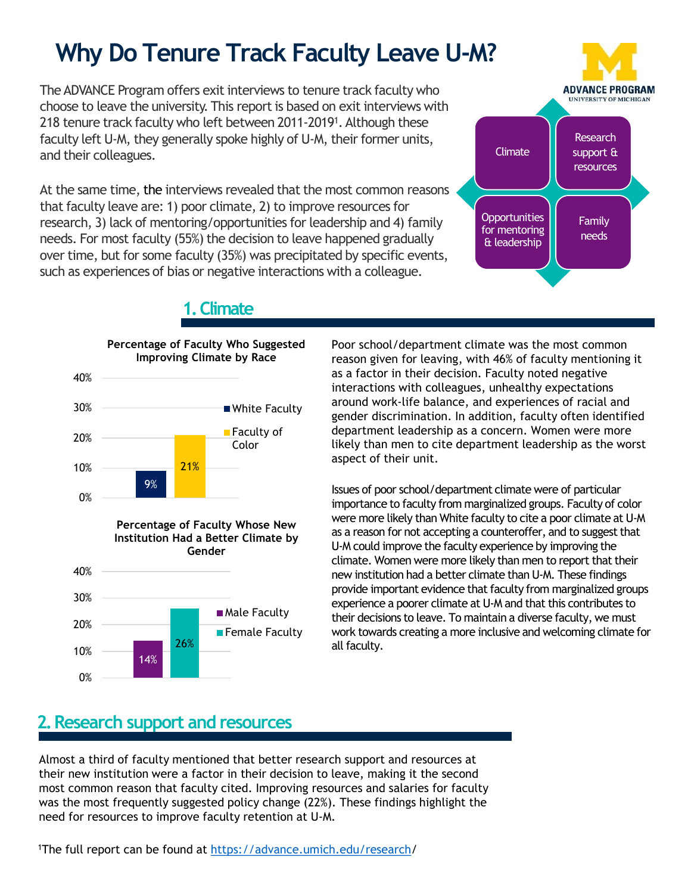# **Why Do Tenure Track Faculty Leave U-M?**

The ADVANCE Program offers exit interviews to tenure track faculty who choose to leave the university. This report is based on exit interviews with 218 tenure track faculty who left between 2011-2019<sup>1</sup> . Although these faculty left U-M, they generally spoke highly of U-M, their former units, and their colleagues.

At the same time, the interviews revealed that the most common reasons that faculty leave are: 1) poor climate, 2) to improve resources for research, 3) lack of mentoring/opportunities for leadership and 4) family needs. For most faculty (55%) the decision to leave happened gradually over time, but for some faculty (35%) was precipitated by specific events, such as experiences of bias or negative interactions with a colleague.



#### **Example Vert** Faculty discrimination 9% | **Percentage of Faculty Whose New** 21% 0% 10% 20% 30% 40% **Percentage of Faculty Who Suggested Improving Climate by Race Faculty of** Color 20% 30% 40% **Institution Had a Better Climate by Gender** ■ Male Faculty **Female Faculty**

### **1.Climate**

Poor school/department climate was the most common reason given for leaving, with 46% of faculty mentioning it as a factor in their decision. Faculty noted negative interactions with colleagues, unhealthy expectations around work-life balance, and experiences of racial and gender discrimination. In addition, faculty often identified department leadership as a concern. Women were more likely than men to cite department leadership as the worst aspect of their unit.

Issues of poor school/department climate were of particular importance to faculty from marginalized groups. Faculty of color were more likely than White faculty to cite a poor climate at U-M as a reason for not accepting a counteroffer, and to suggest that U-M could improve the faculty experience by improving the climate. Women were more likely than men to report that their new institution had a better climate than U-M. These findings provide important evidence that faculty from marginalized groups experience a poorer climate at U-M and that this contributes to their decisions to leave. To maintain a diverse faculty, we must work towards creating a more inclusive and welcoming climate for all faculty.

## **2. Research support and resources**

26%

14%

0%

10%

Almost a third of faculty mentioned that better research support and resources at their new institution were a factor in their decision to leave, making it the second most common reason that faculty cited. Improving resources and salaries for faculty was the most frequently suggested policy change (22%). These findings highlight the need for resources to improve faculty retention at U-M.

1The full report can be found at [https://advance.umich.edu/research/](https://advance.umich.edu/research)